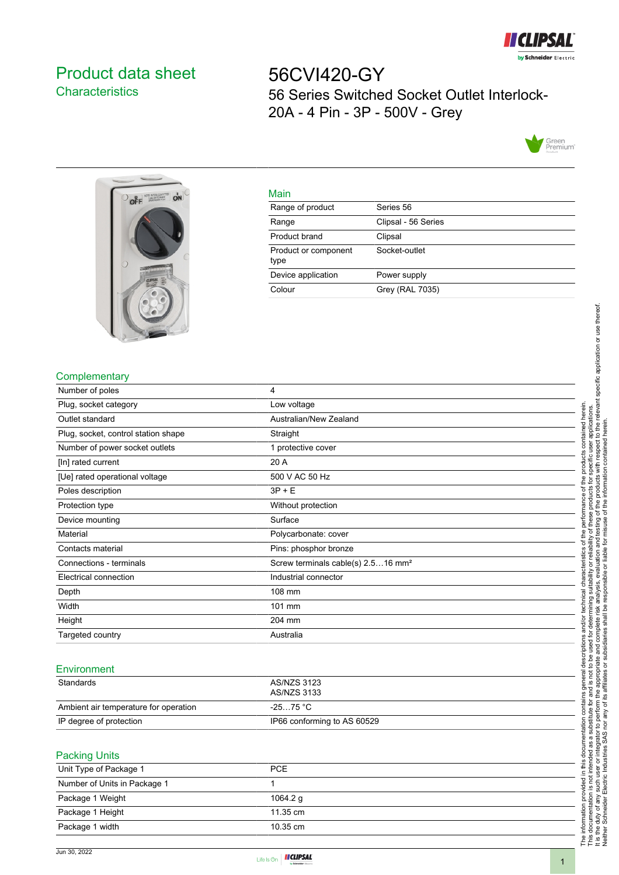

# <span id="page-0-0"></span>Product data sheet **Characteristics**

56CVI420-GY 56 Series Switched Socket Outlet Interlock-20A - 4 Pin - 3P - 500V - Grey





| v  | ٠ |
|----|---|
| __ |   |

| <u>iviali i</u>              |                     |
|------------------------------|---------------------|
| Range of product             | Series 56           |
| Range                        | Clipsal - 56 Series |
| Product brand                | Clipsal             |
| Product or component<br>type | Socket-outlet       |
| Device application           | Power supply        |
| Colour                       | Grey (RAL 7035)     |
|                              |                     |

## **Complementary**

|                                       |                                                | specific application or use thereof.                                                                                                  |
|---------------------------------------|------------------------------------------------|---------------------------------------------------------------------------------------------------------------------------------------|
| Complementary                         |                                                |                                                                                                                                       |
| Number of poles                       | 4                                              |                                                                                                                                       |
| Plug, socket category                 | Low voltage                                    | relevant<br>herein.                                                                                                                   |
| Outlet standard                       | Australian/New Zealand                         | рэ<br>the                                                                                                                             |
| Plug, socket, control station shape   | Straight                                       | contair                                                                                                                               |
| Number of power socket outlets        | 1 protective cover                             |                                                                                                                                       |
| [In] rated current                    | 20 A                                           |                                                                                                                                       |
| [Ue] rated operational voltage        | 500 V AC 50 Hz                                 |                                                                                                                                       |
| Poles description                     | $3P + E$                                       |                                                                                                                                       |
| Protection type                       | Without protection                             |                                                                                                                                       |
| Device mounting                       | Surface                                        | đ<br>৳<br>ō                                                                                                                           |
| Material                              | Polycarbonate: cover                           |                                                                                                                                       |
| Contacts material                     | Pins: phosphor bronze                          |                                                                                                                                       |
| Connections - terminals               | Screw terminals cable(s) 2.516 mm <sup>2</sup> |                                                                                                                                       |
| Electrical connection                 | Industrial connector                           |                                                                                                                                       |
| Depth                                 | 108 mm                                         |                                                                                                                                       |
| Width                                 | 101 mm                                         |                                                                                                                                       |
| Height                                | 204 mm                                         |                                                                                                                                       |
| Targeted country                      | Australia                                      |                                                                                                                                       |
| Environment<br>Standards              | <b>AS/NZS 3123</b>                             |                                                                                                                                       |
|                                       | AS/NZS 3133                                    |                                                                                                                                       |
| Ambient air temperature for operation | $-2575 °C$                                     |                                                                                                                                       |
| IP degree of protection               | IP66 conforming to AS 60529                    | ₽                                                                                                                                     |
| <b>Packing Units</b>                  |                                                | rdustri<br>몯<br>ŏ<br>$\overline{\omega}$                                                                                              |
| Unit Type of Package 1                | <b>PCE</b>                                     | ₽<br>₹                                                                                                                                |
| Number of Units in Package 1          | 1                                              |                                                                                                                                       |
| Package 1 Weight                      | 1064.2 g                                       |                                                                                                                                       |
| Package 1 Height                      | 11.35 cm                                       |                                                                                                                                       |
| Package 1 width                       | 10.35 cm                                       | The information provided in the socurrentation is not interesting the duty of any such user<br>Neither Schneider Electric Independent |

### Environment

| Standards                             | AS/NZS 3123<br>AS/NZS 3133  |
|---------------------------------------|-----------------------------|
| Ambient air temperature for operation | -25…75 °C                   |
| IP degree of protection               | IP66 conforming to AS 60529 |

#### Packing Units

| Unit Type of Package 1       | <b>PCE</b>         |
|------------------------------|--------------------|
| Number of Units in Package 1 |                    |
| Package 1 Weight             | 1064.2 g           |
| Package 1 Height             | $11.35 \text{ cm}$ |
| Package 1 width              | $10.35 \text{ cm}$ |